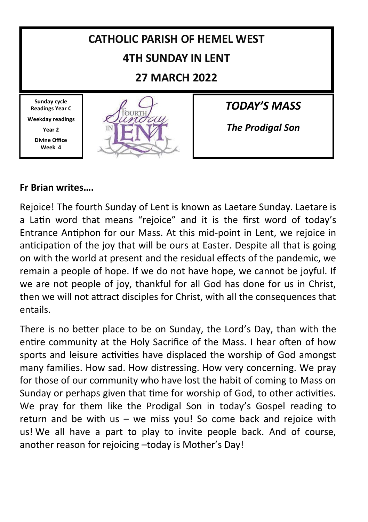

### **Fr Brian writes….**

Rejoice! The fourth Sunday of Lent is known as Laetare Sunday. Laetare is a Latin word that means "rejoice" and it is the first word of today's Entrance Antiphon for our Mass. At this mid-point in Lent, we rejoice in anticipation of the joy that will be ours at Easter. Despite all that is going on with the world at present and the residual effects of the pandemic, we remain a people of hope. If we do not have hope, we cannot be joyful. If we are not people of joy, thankful for all God has done for us in Christ, then we will not attract disciples for Christ, with all the consequences that entails.

There is no better place to be on Sunday, the Lord's Day, than with the entire community at the Holy Sacrifice of the Mass. I hear often of how sports and leisure activities have displaced the worship of God amongst many families. How sad. How distressing. How very concerning. We pray for those of our community who have lost the habit of coming to Mass on Sunday or perhaps given that time for worship of God, to other activities. We pray for them like the Prodigal Son in today's Gospel reading to return and be with us – we miss you! So come back and rejoice with us! We all have a part to play to invite people back. And of course, another reason for rejoicing –today is Mother's Day!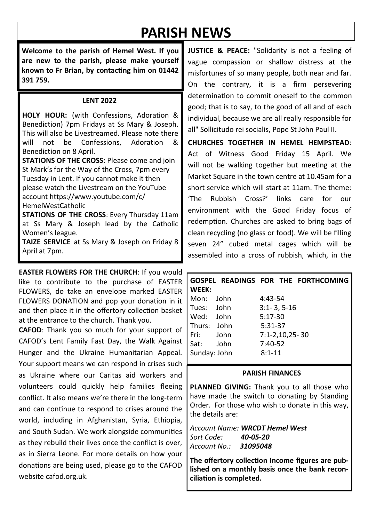# **PARISH NEWS**

**Welcome to the parish of Hemel West. If you are new to the parish, please make yourself known to Fr Brian, by contacting him on 01442 391 759.**

#### **LENT 2022**

**HOLY HOUR:** (with Confessions, Adoration & Benediction) 7pm Fridays at Ss Mary & Joseph. This will also be Livestreamed. Please note there<br>will not be Confessions. Adoration & Confessions, Benediction on 8 April.

**STATIONS OF THE CROSS**: Please come and join St Mark's for the Way of the Cross, 7pm every Tuesday in Lent. If you cannot make it then please watch the Livestream on the YouTube account https://www.youtube.com/c/ HemelWestCatholic

**STATIONS OF THE CROSS**: Every Thursday 11am at Ss Mary & Joseph lead by the Catholic Women's league.

**TAIZE SERVICE** at Ss Mary & Joseph on Friday 8 April at 7pm.

**EASTER FLOWERS FOR THE CHURCH**: If you would like to contribute to the purchase of EASTER FLOWERS, do take an envelope marked EASTER FLOWERS DONATION and pop your donation in it and then place it in the offertory collection basket at the entrance to the church. Thank you.

**CAFOD**: Thank you so much for your support of CAFOD's Lent Family Fast Day, the Walk Against Hunger and the Ukraine Humanitarian Appeal. Your support means we can respond in crises such as Ukraine where our Caritas aid workers and volunteers could quickly help families fleeing conflict. It also means we're there in the long-term and can continue to respond to crises around the world, including in Afghanistan, Syria, Ethiopia, and South Sudan. We work alongside communities as they rebuild their lives once the conflict is over, as in Sierra Leone. For more details on how your donations are being used, please go to the CAFOD website cafod.org.uk.

**JUSTICE & PEACE:** "Solidarity is not a feeling of vague compassion or shallow distress at the misfortunes of so many people, both near and far. On the contrary, it is a firm persevering determination to commit oneself to the common good; that is to say, to the good of all and of each individual, because we are all really responsible for all" Sollicitudo rei socialis, Pope St John Paul II.

**CHURCHES TOGETHER IN HEMEL HEMPSTEAD**: Act of Witness Good Friday 15 April. We will not be walking together but meeting at the Market Square in the town centre at 10.45am for a short service which will start at 11am. The theme: 'The Rubbish Cross?' links care for our environment with the Good Friday focus of redemption. Churches are asked to bring bags of clean recycling (no glass or food). We will be filling seven 24" cubed metal cages which will be assembled into a cross of rubbish, which, in the

| WEEK:               |      | GOSPEL READINGS FOR THE FORTHCOMING |  |
|---------------------|------|-------------------------------------|--|
| Mon: John           |      | 4:43-54                             |  |
| Tues: John          |      | $3:1 - 3, 5 - 16$                   |  |
| Wed: John           |      | $5:17-30$                           |  |
| Thurs: John         |      | 5:31-37                             |  |
| Fri: The Top States | John | 7:1-2,10,25-30                      |  |
| Sat:                | John | $7:40-52$                           |  |
| Sunday: John        |      | $8:1 - 11$                          |  |

#### **PARISH FINANCES**

PLANNED GIVING: Thank you to all those who have made the switch to donating by Standing Order. For those who wish to donate in this way, the details are:

*Account Name: WRCDT Hemel West Sort Code: 40-05-20 Account No.: 31095048*

**The offertory collection Income figures are published on a monthly basis once the bank reconciliation is completed.**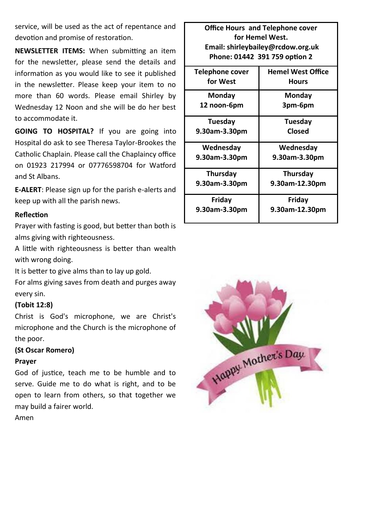service, will be used as the act of repentance and devotion and promise of restoration.

**NEWSLETTER ITEMS:** When submitting an item for the newsletter, please send the details and information as you would like to see it published in the newsletter. Please keep your item to no more than 60 words. Please email Shirley by Wednesday 12 Noon and she will be do her best to accommodate it.

**GOING TO HOSPITAL?** If you are going into Hospital do ask to see Theresa Taylor-Brookes the Catholic Chaplain. Please call the Chaplaincy office on 01923 217994 or 07776598704 for Watford and St Albans.

**E-ALERT**: Please sign up for the parish e-alerts and keep up with all the parish news.

#### **Reflection**

Prayer with fasting is good, but better than both is alms giving with righteousness.

A little with righteousness is better than wealth with wrong doing.

It is better to give alms than to lay up gold.

For alms giving saves from death and purges away every sin.

#### **(Tobit 12:8)**

Christ is God's microphone, we are Christ's microphone and the Church is the microphone of the poor.

#### **(St Oscar Romero)**

#### **Prayer**

God of justice, teach me to be humble and to serve. Guide me to do what is right, and to be open to learn from others, so that together we may build a fairer world.

Amen

**Office Hours and Telephone cover for Hemel West. Email: shirleybailey@rcdow.org.uk Phone: 01442 391 759 option 2**

| Telephone cover | <b>Hemel West Office</b> |
|-----------------|--------------------------|
| for West        | Hours                    |
| Mondav          | Monday                   |
| 12 noon-6pm     | 3pm-6pm                  |
| Tuesday         | <b>Tuesday</b>           |
| 9.30am-3.30pm   | Closed                   |
| Wednesday       | Wednesday                |
| 9.30am-3.30pm   | 9.30am-3.30pm            |
| Thursday        | Thursday                 |
| 9.30am-3.30pm   | 9.30am-12.30pm           |
| Friday          | Friday                   |
| 9.30am-3.30pm   | 9.30am-12.30pm           |